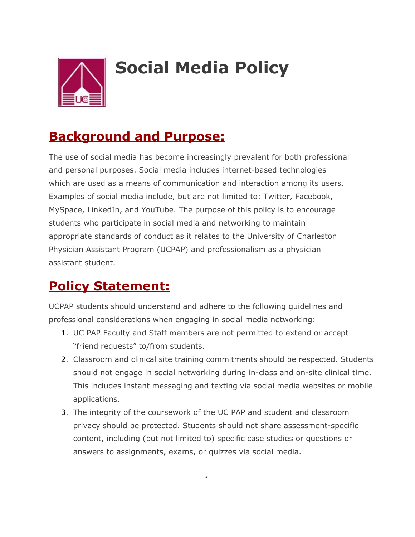

## **Social Media Policy**

## **Background and Purpose:**

The use of social media has become increasingly prevalent for both professional and personal purposes. Social media includes internet-based technologies which are used as a means of communication and interaction among its users. Examples of social media include, but are not limited to: Twitter, Facebook, MySpace, LinkedIn, and YouTube. The purpose of this policy is to encourage students who participate in social media and networking to maintain appropriate standards of conduct as it relates to the University of Charleston Physician Assistant Program (UCPAP) and professionalism as a physician assistant student.

## **Policy Statement:**

UCPAP students should understand and adhere to the following guidelines and professional considerations when engaging in social media networking:

- 1. UC PAP Faculty and Staff members are not permitted to extend or accept "friend requests" to/from students.
- 2. Classroom and clinical site training commitments should be respected. Students should not engage in social networking during in-class and on-site clinical time. This includes instant messaging and texting via social media websites or mobile applications.
- 3. The integrity of the coursework of the UC PAP and student and classroom privacy should be protected. Students should not share assessment-specific content, including (but not limited to) specific case studies or questions or answers to assignments, exams, or quizzes via social media.